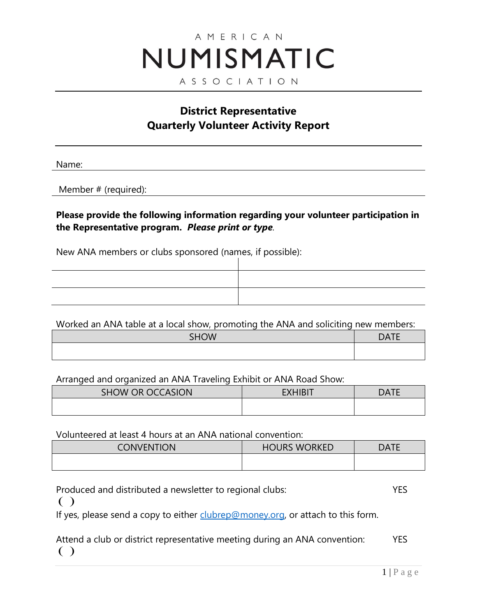# AMERICAN NUMISMATIC ASSOCIATION

## **District Representative Quarterly Volunteer Activity Report**

Name:

Member # (required):

**Please provide the following information regarding your volunteer participation in the Representative program.** *Please print or type.*

New ANA members or clubs sponsored (names, if possible):

| ,一个人都是一个人的人,但是,我们的人都是一个人,我们的人都是一个人,我们的人都是一个人,我们的人都是一个人,我们的人都是一个人,我们的人都是一个人,我们的人,<br>第一百一十一章 一个人,我们的人都是一个人,我们的人都是一个人,我们的人都是一个人,我们的人都是一个人,我们的人都是一个人,我们的人都是一个人,我们的人都是一个 |  |
|----------------------------------------------------------------------------------------------------------------------------------------------------------------------|--|
|                                                                                                                                                                      |  |
|                                                                                                                                                                      |  |
|                                                                                                                                                                      |  |
|                                                                                                                                                                      |  |
|                                                                                                                                                                      |  |
|                                                                                                                                                                      |  |
|                                                                                                                                                                      |  |

Worked an ANA table at a local show, promoting the ANA and soliciting new members:

| <b>SHOW</b> | <b>DATE</b> |
|-------------|-------------|
|             |             |

Arranged and organized an ANA Traveling Exhibit or ANA Road Show:

| SHOW OR OCCASION | <b>EXHIBIT</b> | DATF |
|------------------|----------------|------|
|                  |                |      |

Volunteered at least 4 hours at an ANA national convention:

| <b>CONVENTION</b> | <b>HOURS WORKED</b> | <b>DATE</b> |
|-------------------|---------------------|-------------|
|                   |                     |             |

Produced and distributed a newsletter to regional clubs: YES  $\left( \begin{array}{c} \end{array} \right)$ If yes, please send a copy to either [clubrep@money.org,](mailto:clubrep@money.org) or attach to this form. Attend a club or district representative meeting during an ANA convention: YES

 $\left( \ \right)$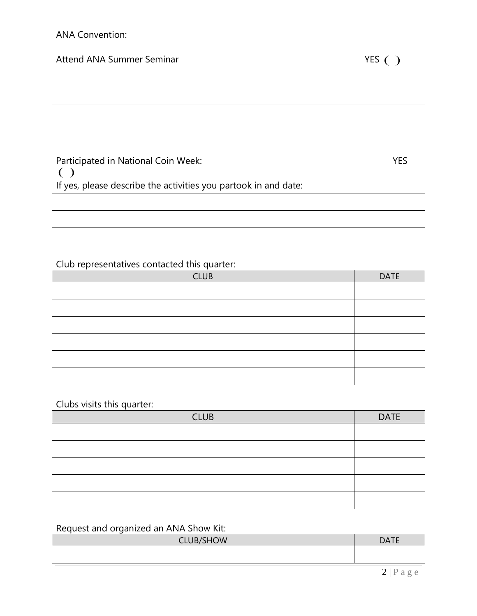#### Attend ANA Summer Seminar

| Participated in National Coin Week:                             | YES. |
|-----------------------------------------------------------------|------|
| $\left( \begin{array}{c} \end{array} \right)$                   |      |
| If yes, please describe the activities you partook in and date: |      |

#### Club representatives contacted this quarter:

| <b>CLUB</b> | <b>DATE</b> |
|-------------|-------------|
|             |             |
|             |             |
|             |             |
|             |             |
|             |             |
|             |             |

Clubs visits this quarter:

| <b>CLUB</b> | <b>DATE</b> |  |
|-------------|-------------|--|
|             |             |  |
|             |             |  |
|             |             |  |
|             |             |  |
|             |             |  |

### Request and organized an ANA Show Kit:

| CLUB/SHOW | <b>DATE</b> |
|-----------|-------------|
|           |             |
|           |             |
|           |             |
|           |             |
|           |             |
|           | $\bigcap$   |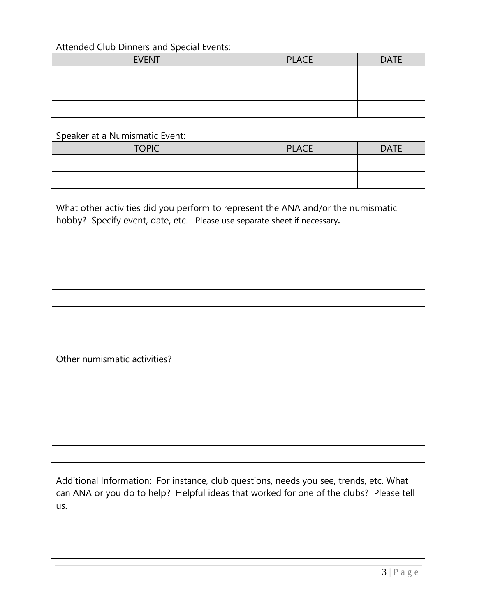#### Attended Club Dinners and Special Events:

| <b>EVENT</b> | <b>PLACE</b> | <b>DATE</b> |
|--------------|--------------|-------------|
|              |              |             |
|              |              |             |
|              |              |             |
|              |              |             |

Speaker at a Numismatic Event:

| <b>TOPIC</b> | <b>PLACE</b> | <b>DATE</b> |
|--------------|--------------|-------------|
|              |              |             |
|              |              |             |

What other activities did you perform to represent the ANA and/or the numismatic hobby? Specify event, date, etc.Please use separate sheet if necessary**.** 

Other numismatic activities?

Additional Information: For instance, club questions, needs you see, trends, etc. What can ANA or you do to help? Helpful ideas that worked for one of the clubs? Please tell us.